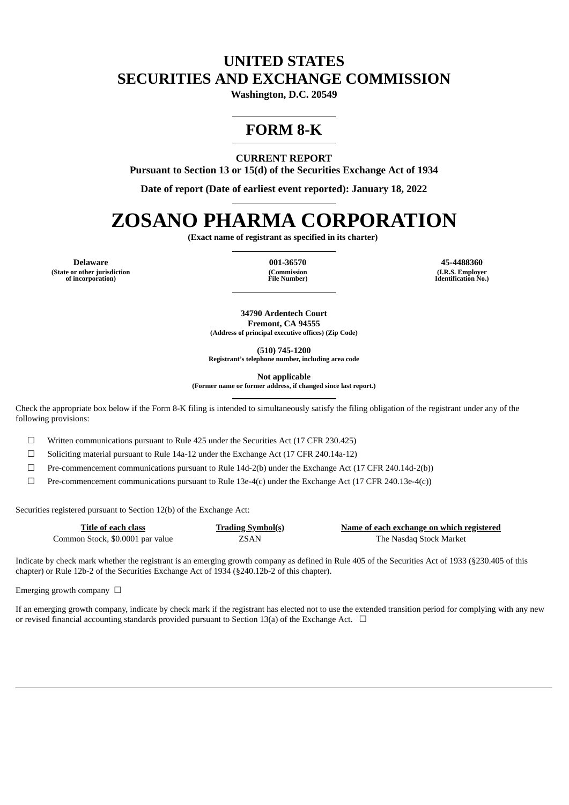## **UNITED STATES SECURITIES AND EXCHANGE COMMISSION**

**Washington, D.C. 20549**

# **FORM 8-K**

## **CURRENT REPORT**

**Pursuant to Section 13 or 15(d) of the Securities Exchange Act of 1934**

**Date of report (Date of earliest event reported): January 18, 2022**

# **ZOSANO PHARMA CORPORATION**

**(Exact name of registrant as specified in its charter)**

**(State or other jurisdiction of incorporation)**

**(Commission File Number)**

**Delaware 001-36570 45-4488360 (I.R.S. Employer Identification No.)**

> **34790 Ardentech Court Fremont, CA 94555 (Address of principal executive offices) (Zip Code)**

> > **(510) 745-1200**

**Registrant's telephone number, including area code**

**Not applicable**

**(Former name or former address, if changed since last report.)**

Check the appropriate box below if the Form 8-K filing is intended to simultaneously satisfy the filing obligation of the registrant under any of the following provisions:

☐ Written communications pursuant to Rule 425 under the Securities Act (17 CFR 230.425)

☐ Soliciting material pursuant to Rule 14a-12 under the Exchange Act (17 CFR 240.14a-12)

☐ Pre-commencement communications pursuant to Rule 14d-2(b) under the Exchange Act (17 CFR 240.14d-2(b))

 $\Box$  Pre-commencement communications pursuant to Rule 13e-4(c) under the Exchange Act (17 CFR 240.13e-4(c))

Securities registered pursuant to Section 12(b) of the Exchange Act:

| Title of each class              | <b>Trading Symbol(s)</b> | Name of each exchange on which registered |
|----------------------------------|--------------------------|-------------------------------------------|
| Common Stock, \$0.0001 par value | ZSAN                     | The Nasdag Stock Market                   |

Indicate by check mark whether the registrant is an emerging growth company as defined in Rule 405 of the Securities Act of 1933 (§230.405 of this chapter) or Rule 12b-2 of the Securities Exchange Act of 1934 (§240.12b-2 of this chapter).

Emerging growth company  $\Box$ 

If an emerging growth company, indicate by check mark if the registrant has elected not to use the extended transition period for complying with any new or revised financial accounting standards provided pursuant to Section 13(a) of the Exchange Act.  $\Box$